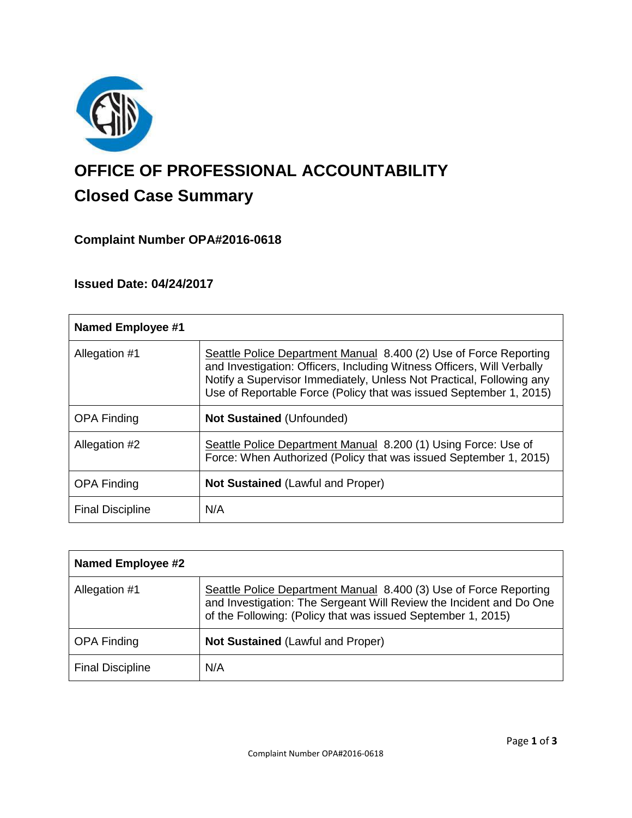

# **OFFICE OF PROFESSIONAL ACCOUNTABILITY Closed Case Summary**

# **Complaint Number OPA#2016-0618**

# **Issued Date: 04/24/2017**

| <b>Named Employee #1</b> |                                                                                                                                                                                                                                                                                           |
|--------------------------|-------------------------------------------------------------------------------------------------------------------------------------------------------------------------------------------------------------------------------------------------------------------------------------------|
| Allegation #1            | Seattle Police Department Manual 8.400 (2) Use of Force Reporting<br>and Investigation: Officers, Including Witness Officers, Will Verbally<br>Notify a Supervisor Immediately, Unless Not Practical, Following any<br>Use of Reportable Force (Policy that was issued September 1, 2015) |
| <b>OPA Finding</b>       | <b>Not Sustained (Unfounded)</b>                                                                                                                                                                                                                                                          |
| Allegation #2            | Seattle Police Department Manual 8.200 (1) Using Force: Use of<br>Force: When Authorized (Policy that was issued September 1, 2015)                                                                                                                                                       |
| <b>OPA Finding</b>       | <b>Not Sustained (Lawful and Proper)</b>                                                                                                                                                                                                                                                  |
| <b>Final Discipline</b>  | N/A                                                                                                                                                                                                                                                                                       |

| <b>Named Employee #2</b> |                                                                                                                                                                                                          |
|--------------------------|----------------------------------------------------------------------------------------------------------------------------------------------------------------------------------------------------------|
| Allegation #1            | Seattle Police Department Manual 8.400 (3) Use of Force Reporting<br>and Investigation: The Sergeant Will Review the Incident and Do One<br>of the Following: (Policy that was issued September 1, 2015) |
| <b>OPA Finding</b>       | <b>Not Sustained (Lawful and Proper)</b>                                                                                                                                                                 |
| <b>Final Discipline</b>  | N/A                                                                                                                                                                                                      |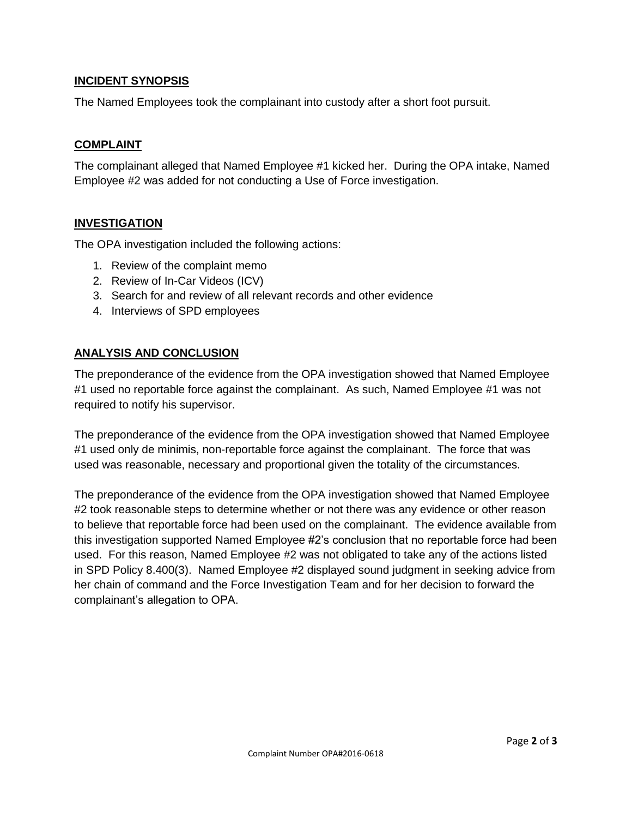# **INCIDENT SYNOPSIS**

The Named Employees took the complainant into custody after a short foot pursuit.

## **COMPLAINT**

The complainant alleged that Named Employee #1 kicked her. During the OPA intake, Named Employee #2 was added for not conducting a Use of Force investigation.

# **INVESTIGATION**

The OPA investigation included the following actions:

- 1. Review of the complaint memo
- 2. Review of In-Car Videos (ICV)
- 3. Search for and review of all relevant records and other evidence
- 4. Interviews of SPD employees

# **ANALYSIS AND CONCLUSION**

The preponderance of the evidence from the OPA investigation showed that Named Employee #1 used no reportable force against the complainant. As such, Named Employee #1 was not required to notify his supervisor.

The preponderance of the evidence from the OPA investigation showed that Named Employee #1 used only de minimis, non-reportable force against the complainant. The force that was used was reasonable, necessary and proportional given the totality of the circumstances.

The preponderance of the evidence from the OPA investigation showed that Named Employee #2 took reasonable steps to determine whether or not there was any evidence or other reason to believe that reportable force had been used on the complainant. The evidence available from this investigation supported Named Employee #2's conclusion that no reportable force had been used. For this reason, Named Employee #2 was not obligated to take any of the actions listed in SPD Policy 8.400(3). Named Employee #2 displayed sound judgment in seeking advice from her chain of command and the Force Investigation Team and for her decision to forward the complainant's allegation to OPA.